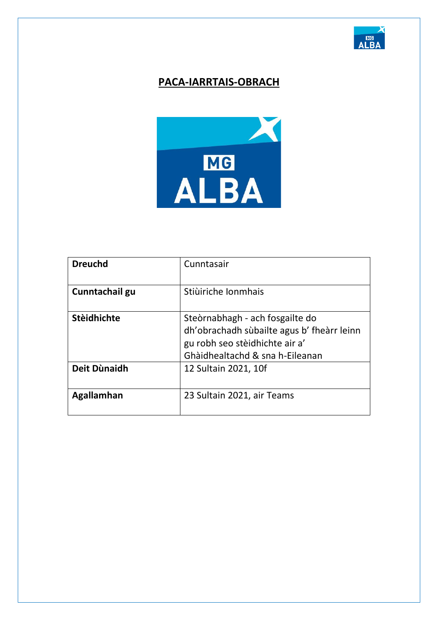

# **PACA-IARRTAIS-OBRACH**



| <b>Dreuchd</b>     | Cunntasair                                                                                                                                         |
|--------------------|----------------------------------------------------------------------------------------------------------------------------------------------------|
| Cunntachail gu     | Stiùiriche Ionmhais                                                                                                                                |
| <b>Stèidhichte</b> | Steòrnabhagh - ach fosgailte do<br>dh'obrachadh sùbailte agus b' fheàrr leinn<br>gu robh seo stèidhichte air a'<br>Ghàidhealtachd & sna h-Eileanan |
| Deit Dùnaidh       | 12 Sultain 2021, 10f                                                                                                                               |
| Agallamhan         | 23 Sultain 2021, air Teams                                                                                                                         |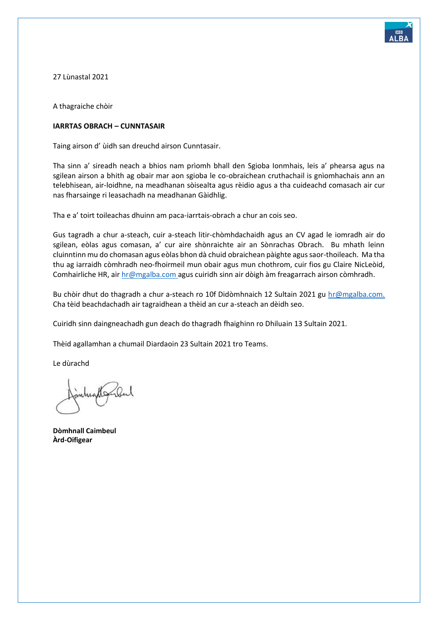

27 Lùnastal 2021

A thagraiche chòir

### **IARRTAS OBRACH – CUNNTASAIR**

Taing airson d' ùidh san dreuchd airson Cunntasair.

Tha sinn a' sireadh neach a bhios nam prìomh bhall den Sgioba Ionmhais, leis a' phearsa agus na sgilean airson a bhith ag obair mar aon sgioba le co-obraichean cruthachail is gnìomhachais ann an telebhisean, air-loidhne, na meadhanan sòisealta agus rèidio agus a tha cuideachd comasach air cur nas fharsainge ri leasachadh na meadhanan Gàidhlig.

Tha e a' toirt toileachas dhuinn am paca-iarrtais-obrach a chur an cois seo.

Gus tagradh a chur a-steach, cuir a-steach litir-chòmhdachaidh agus an CV agad le iomradh air do sgilean, eòlas agus comasan, a' cur aire shònraichte air an Sònrachas Obrach. Bu mhath leinn cluinntinn mu do chomasan agus eòlas bhon dà chuid obraichean pàighte agus saor-thoileach. Ma tha thu ag iarraidh còmhradh neo-fhoirmeil mun obair agus mun chothrom, cuir fios gu Claire NicLeòid, Comhairliche HR, air [hr@mgalba.com](mailto:hr@mgalba.com) agus cuiridh sinn air dòigh àm freagarrach airson còmhradh.

Bu chòir dhut do thagradh a chur a-steach ro 10f Didòmhnaich 12 Sultain 2021 gu [hr@mgalba.com.](mailto:hr@mgalba.com) Cha tèid beachdachadh air tagraidhean a thèid an cur a-steach an dèidh seo.

Cuiridh sinn daingneachadh gun deach do thagradh fhaighinn ro Dhiluain 13 Sultain 2021.

Thèid agallamhan a chumail Diardaoin 23 Sultain 2021 tro Teams.

Le dùrachd

**Dòmhnall Caimbeul Àrd-Oifigear**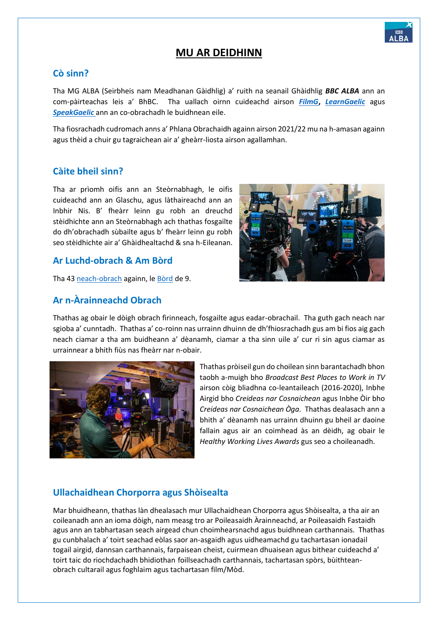

## **MU AR DEIDHINN**

## **Cò sinn?**

Tha MG ALBA (Seirbheis nam Meadhanan Gàidhlig) a' ruith na seanail Ghàidhlig *BBC ALBA* ann an com-pàirteachas leis a' BhBC. Tha uallach oirnn cuideachd airson *[FilmG](http://filmg.co.uk/gd/)***,** *[LearnGaelic](https://learngaelic.net/)* agus *[SpeakGaelic](https://speakgaelic.scot/)* ann an co-obrachadh le buidhnean eile.

Tha fiosrachadh cudromach anns a' Phlana Obrachaidh againn airson 2021/22 mu na h-amasan againn agus thèid a chuir gu tagraichean air a' gheàrr-liosta airson agallamhan.

## **Càite bheil sinn?**

Tha ar prìomh oifis ann an Steòrnabhagh, le oifis cuideachd ann an Glaschu, agus làthaireachd ann an Inbhir Nis. B' fheàrr leinn gu robh an dreuchd stèidhichte ann an Steòrnabhagh ach thathas fosgailte do dh'obrachadh sùbailte agus b' fheàrr leinn gu robh seo stèidhichte air a' Ghàidhealtachd & sna h-Eileanan.

## **Ar Luchd-obrach & Am Bòrd**

Tha 43 [neach-obrach](https://mgalba.com/mu-ar-deidhinn/luchd-obrach/) againn, le [Bòrd](https://mgalba.com/corporra/bord/) de 9.

## **Ar n-Àrainneachd Obrach**



Thathas ag obair le dòigh obrach fìrinneach, fosgailte agus eadar-obrachail. Tha guth gach neach nar sgioba a' cunntadh. Thathas a' co-roinn nas urrainn dhuinn de dh'fhiosrachadh gus am bi fios aig gach neach ciamar a tha am buidheann a' dèanamh, ciamar a tha sinn uile a' cur ri sin agus ciamar as urrainnear a bhith fiùs nas fheàrr nar n-obair.



Thathas pròiseil gun do choilean sinn barantachadh bhon taobh a-muigh bho *Broadcast Best Places to Work in TV*  airson còig bliadhna co-leantaileach (2016-2020), Inbhe Airgid bho *Creideas nar Cosnaichean* agus Inbhe Òir bho *Creideas nar Cosnaichean Òga.* Thathas dealasach ann a bhith a' dèanamh nas urrainn dhuinn gu bheil ar daoine fallain agus air an coimhead às an dèidh, ag obair le *Healthy Working Lives Awards* gus seo a choileanadh.

## **Ullachaidhean Chorporra agus Shòisealta**

Mar bhuidheann, thathas làn dhealasach mur Ullachaidhean Chorporra agus Shòisealta, a tha air an coileanadh ann an ioma dòigh, nam measg tro ar Poileasaidh Àrainneachd, ar Poileasaidh Fastaidh agus ann an tabhartasan seach airgead chun choimhearsnachd agus buidhnean carthannais. Thathas gu cunbhalach a' toirt seachad eòlas saor an-asgaidh agus uidheamachd gu tachartasan ionadail togail airgid, dannsan carthannais, farpaisean cheist, cuirmean dhuaisean agus bithear cuideachd a' toirt taic do riochdachadh bhidiothan foillseachadh carthannais, tachartasan spòrs, bùithteanobrach cultarail agus foghlaim agus tachartasan film/Mòd.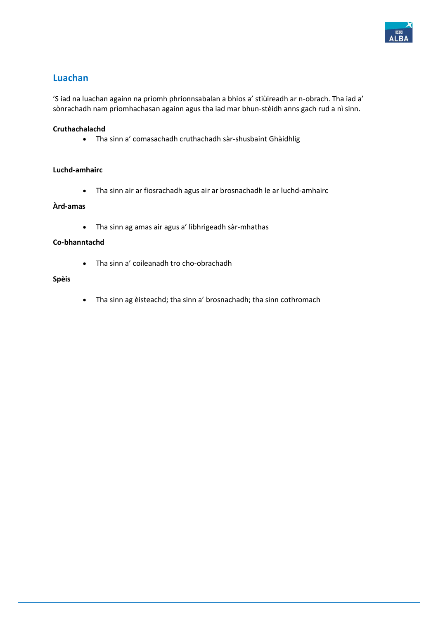

## **Luachan**

'S iad na luachan againn na prìomh phrionnsabalan a bhios a' stiùireadh ar n-obrach. Tha iad a' sònrachadh nam prìomhachasan againn agus tha iad mar bhun-stèidh anns gach rud a nì sinn.

### **Cruthachalachd**

• Tha sinn a' comasachadh cruthachadh sàr-shusbaint Ghàidhlig

### **Luchd-amhairc**

• Tha sinn air ar fiosrachadh agus air ar brosnachadh le ar luchd-amhairc

### **Àrd-amas**

• Tha sinn ag amas air agus a' lìbhrigeadh sàr-mhathas

### **Co-bhanntachd**

• Tha sinn a' coileanadh tro cho-obrachadh

### **Spèis**

• Tha sinn ag èisteachd; tha sinn a' brosnachadh; tha sinn cothromach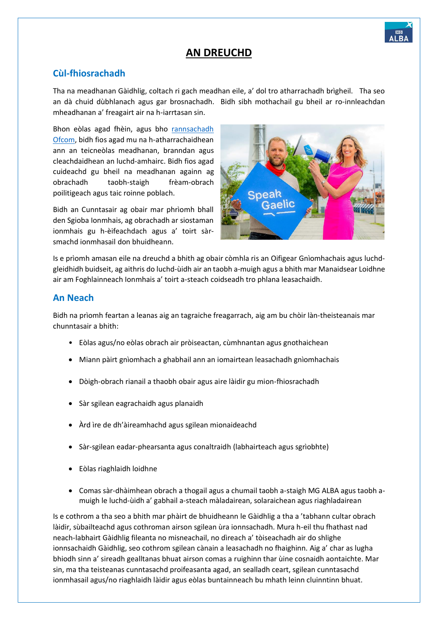

## **AN DREUCHD**

## **Cùl-fhiosrachadh**

Tha na meadhanan Gàidhlig, coltach ri gach meadhan eile, a' dol tro atharrachadh brìgheil. Tha seo an dà chuid dùbhlanach agus gar brosnachadh. Bidh sibh mothachail gu bheil ar ro-innleachdan mheadhanan a' freagairt air na h-iarrtasan sin.

Bhon eòlas agad fhèin, agus bho [rannsachadh](https://www.ofcom.org.uk/__data/assets/pdf_file/0025/222892/scotland-report-2021.pdf)  [Ofcom,](https://www.ofcom.org.uk/__data/assets/pdf_file/0025/222892/scotland-report-2021.pdf) bidh fios agad mu na h-atharrachaidhean ann an teicneòlas meadhanan, branndan agus cleachdaidhean an luchd-amhairc. Bidh fios agad cuideachd gu bheil na meadhanan againn ag obrachadh taobh-staigh frèam-obrach poilitigeach agus taic roinne poblach.

Bidh an Cunntasair ag obair mar phrìomh bhall den Sgioba Ionmhais, ag obrachadh ar siostaman ionmhais gu h-èifeachdach agus a' toirt sàrsmachd ionmhasail don bhuidheann.



Is e prìomh amasan eile na dreuchd a bhith ag obair còmhla ris an Oifigear Gnìomhachais agus luchdgleidhidh buidseit, ag aithris do luchd-ùidh air an taobh a-muigh agus a bhith mar Manaidsear Loidhne air am Foghlainneach Ionmhais a' toirt a-steach coidseadh tro phlana leasachaidh.

## **An Neach**

Bidh na prìomh feartan a leanas aig an tagraiche freagarrach, aig am bu chòir làn-theisteanais mar chunntasair a bhith:

- Eòlas agus/no eòlas obrach air pròiseactan, cùmhnantan agus gnothaichean
- Miann pàirt gnìomhach a ghabhail ann an iomairtean leasachadh gnìomhachais
- Dòigh-obrach rianail a thaobh obair agus aire làidir gu mion-fhiosrachadh
- Sàr sgilean eagrachaidh agus planaidh
- Àrd ìre de dh'àireamhachd agus sgilean mionaideachd
- Sàr-sgilean eadar-phearsanta agus conaltraidh (labhairteach agus sgrìobhte)
- Eòlas riaghlaidh loidhne
- Comas sàr-dhàimhean obrach a thogail agus a chumail taobh a-staigh MG ALBA agus taobh amuigh le luchd-ùidh a' gabhail a-steach màladairean, solaraichean agus riaghladairean

Is e cothrom a tha seo a bhith mar phàirt de bhuidheann le Gàidhlig a tha a 'tabhann cultar obrach làidir, sùbailteachd agus cothroman airson sgilean ùra ionnsachadh. Mura h-eil thu fhathast nad neach-labhairt Gàidhlig fileanta no misneachail, no dìreach a' tòiseachadh air do shlighe ionnsachaidh Gàidhlig, seo cothrom sgilean cànain a leasachadh no fhaighinn. Aig a' char as lugha bhiodh sinn a' sireadh gealltanas bhuat airson comas a ruighinn thar ùine cosnaidh aontaichte. Mar sin, ma tha teisteanas cunntasachd proifeasanta agad, an sealladh ceart, sgilean cunntasachd ionmhasail agus/no riaghlaidh làidir agus eòlas buntainneach bu mhath leinn cluinntinn bhuat.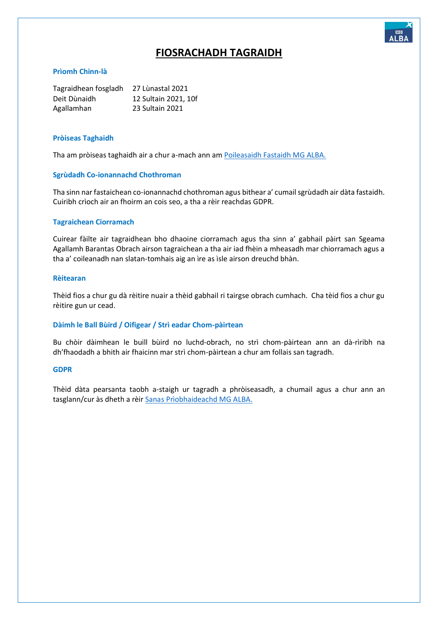# **FIOSRACHADH TAGRAIDH**

### **Prìomh Chinn-là**

| Tagraidhean fosgladh | 27 Lùnastal 2021     |
|----------------------|----------------------|
| Deit Dùnaidh         | 12 Sultain 2021, 10f |
| Agallamhan           | 23 Sultain 2021      |

### **Pròiseas Taghaidh**

Tha am pròiseas taghaidh air a chur a-mach ann am [Poileasaidh Fastaidh MG ALBA.](https://mgalba.com/wp-content/uploads/2020/12/recruitment-salary-structures-policy-1218.pdf)

### **Sgrùdadh Co-ionannachd Chothroman**

Tha sinn nar fastaichean co-ionannachd chothroman agus bithear a' cumail sgrùdadh air dàta fastaidh. Cuiribh crìoch air an fhoirm an cois seo, a tha a rèir reachdas GDPR.

### **Tagraichean Ciorramach**

Cuirear fàilte air tagraidhean bho dhaoine ciorramach agus tha sinn a' gabhail pàirt san Sgeama Agallamh Barantas Obrach airson tagraichean a tha air iad fhèin a mheasadh mar chiorramach agus a tha a' coileanadh nan slatan-tomhais aig an ìre as ìsle airson dreuchd bhàn.

#### **Rèitearan**

Thèid fios a chur gu dà rèitire nuair a thèid gabhail ri tairgse obrach cumhach. Cha tèid fios a chur gu rèitire gun ur cead.

### **Dàimh le Ball Bùird / Oifigear / Strì eadar Chom-pàirtean**

Bu chòir dàimhean le buill bùird no luchd-obrach, no strì chom-pàirtean ann an dà-rìribh na dh'fhaodadh a bhith air fhaicinn mar strì chom-pàirtean a chur am follais san tagradh.

#### **GDPR**

Thèid dàta pearsanta taobh a-staigh ur tagradh a phròiseasadh, a chumail agus a chur ann an tasglann/cur às dheth a rèi[r Sanas Prìobhaideachd MG ALBA.](https://mgalba.com/homepage/privacy-cookies/?lang=en)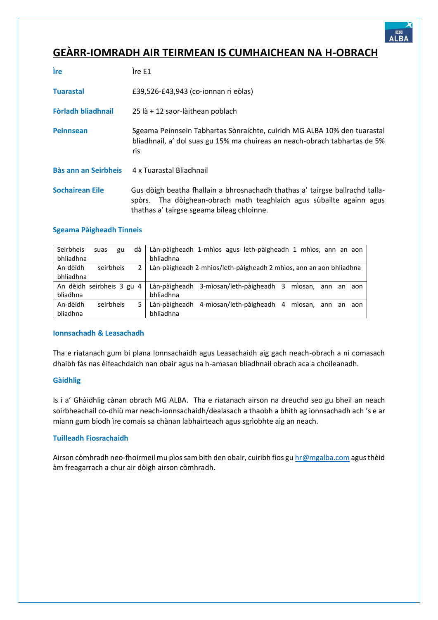

# **GEÀRR-IOMRADH AIR TEIRMEAN IS CUMHAICHEAN NA H-OBRACH**

| Ìre                         | Ìre E1                                                                                                                                                                                             |
|-----------------------------|----------------------------------------------------------------------------------------------------------------------------------------------------------------------------------------------------|
| <b>Tuarastal</b>            | £39,526-£43,943 (co-ionnan ri eòlas)                                                                                                                                                               |
| Fòrladh bliadhnail          | 25 là + 12 saor-làithean poblach                                                                                                                                                                   |
| <b>Peinnsean</b>            | Sgeama Peinnsein Tabhartas Sònraichte, cuiridh MG ALBA 10% den tuarastal<br>bliadhnail, a' dol suas gu 15% ma chuireas an neach-obrach tabhartas de 5%<br>ris                                      |
| <b>Bàs ann an Seirbheis</b> | 4 x Tuarastal Bliadhnail                                                                                                                                                                           |
| <b>Sochairean Eile</b>      | Gus dòigh beatha fhallain a bhrosnachadh thathas a' tairgse ballrachd talla-<br>spòrs. Tha dòighean-obrach math teaghlaich agus sùbailte againn agus<br>thathas a' tairgse sgeama bileag chloinne. |

### **Sgeama Pàigheadh Tinneis**

| <b>Seirbheis</b><br>bhliadhna | suas      | gu | dà | bhliadhna     | Làn-pàigheadh 1-mhìos agus leth-pàigheadh 1 mhìos, ann an aon      |
|-------------------------------|-----------|----|----|---------------|--------------------------------------------------------------------|
| An-dèidh                      | seirbheis |    | 2  |               | Làn-pàigheadh 2-mhìos/leth-pàigheadh 2 mhìos, ann an aon bhliadhna |
| bhliadhna                     |           |    |    |               |                                                                    |
| An dèidh seirbheis 3 gu 4     |           |    |    |               | Làn-pàigheadh 3-mìosan/leth-pàigheadh 3<br>mìosan, ann an aon      |
| bliadhna                      |           |    |    | bhliadhna     |                                                                    |
| An-dèidh                      | seirbheis |    | 5  | Làn-pàigheadh | 4-mìosan/leth-pàigheadh 4 mìosan, ann an<br>aon                    |
| bliadhna                      |           |    |    | bhliadhna     |                                                                    |

### **Ionnsachadh & Leasachadh**

Tha e riatanach gum bi plana Ionnsachaidh agus Leasachaidh aig gach neach-obrach a ni comasach dhaibh fàs nas èifeachdaich nan obair agus na h-amasan bliadhnail obrach aca a choileanadh.

### **Gàidhlig**

Is i a' Ghàidhlig cànan obrach MG ALBA. Tha e riatanach airson na dreuchd seo gu bheil an neach soirbheachail co-dhiù mar neach-ionnsachaidh/dealasach a thaobh a bhith ag ionnsachadh ach 's e ar miann gum biodh ìre comais sa chànan labhairteach agus sgrìobhte aig an neach.

### **Tuilleadh Fiosrachaidh**

Airson còmhradh neo-fhoirmeil mu pìos sam bith den obair, cuiribh fios g[u hr@mgalba.com](mailto:hr@mgalba.com) agus thèid àm freagarrach a chur air dòigh airson còmhradh.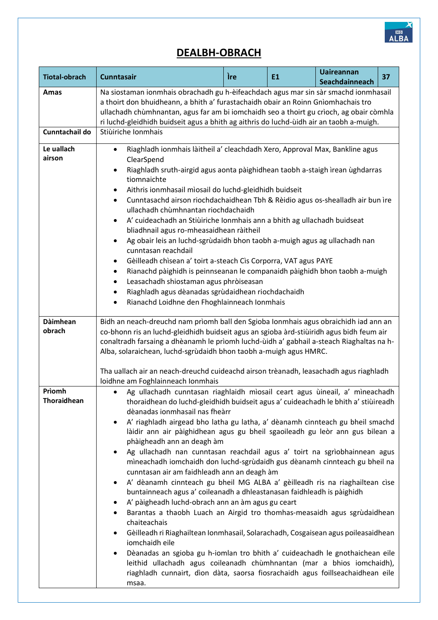

# **DEALBH-OBRACH**

| <b>Tiotal-obrach</b>      | <b>Cunntasair</b>                                                                                                                                                                                                                                                                                                                                                                                                                                                               | Ìre | E1 | <b>Uaireannan</b><br>Seachdainneach | 37 |
|---------------------------|---------------------------------------------------------------------------------------------------------------------------------------------------------------------------------------------------------------------------------------------------------------------------------------------------------------------------------------------------------------------------------------------------------------------------------------------------------------------------------|-----|----|-------------------------------------|----|
| Amas                      | Na siostaman ionmhais obrachadh gu h-èifeachdach agus mar sin sàr smachd ionmhasail                                                                                                                                                                                                                                                                                                                                                                                             |     |    |                                     |    |
|                           | a thoirt don bhuidheann, a bhith a' furastachaidh obair an Roinn Gnìomhachais tro                                                                                                                                                                                                                                                                                                                                                                                               |     |    |                                     |    |
|                           | ullachadh chùmhnantan, agus far am bi iomchaidh seo a thoirt gu crìoch, ag obair còmhla                                                                                                                                                                                                                                                                                                                                                                                         |     |    |                                     |    |
|                           | ri luchd-gleidhidh buidseit agus a bhith ag aithris do luchd-ùidh air an taobh a-muigh.                                                                                                                                                                                                                                                                                                                                                                                         |     |    |                                     |    |
| Cunntachail do            | Stiùiriche Ionmhais                                                                                                                                                                                                                                                                                                                                                                                                                                                             |     |    |                                     |    |
| Le uallach                | Riaghladh ionmhais làitheil a' cleachdadh Xero, Approval Max, Bankline agus<br>$\bullet$                                                                                                                                                                                                                                                                                                                                                                                        |     |    |                                     |    |
| airson                    | ClearSpend                                                                                                                                                                                                                                                                                                                                                                                                                                                                      |     |    |                                     |    |
|                           | Riaghladh sruth-airgid agus aonta pàighidhean taobh a-staigh ìrean ùghdarras                                                                                                                                                                                                                                                                                                                                                                                                    |     |    |                                     |    |
|                           | tiomnaichte                                                                                                                                                                                                                                                                                                                                                                                                                                                                     |     |    |                                     |    |
|                           | Aithris ionmhasail mìosail do luchd-gleidhidh buidseit<br>$\bullet$                                                                                                                                                                                                                                                                                                                                                                                                             |     |    |                                     |    |
|                           | Cunntasachd airson riochdachaidhean Tbh & Rèidio agus os-shealladh air bun ìre<br>$\bullet$<br>ullachadh chùmhnantan riochdachaidh                                                                                                                                                                                                                                                                                                                                              |     |    |                                     |    |
|                           | A' cuideachadh an Stiùiriche Ionmhais ann a bhith ag ullachadh buidseat<br>$\bullet$                                                                                                                                                                                                                                                                                                                                                                                            |     |    |                                     |    |
|                           | bliadhnail agus ro-mheasaidhean ràitheil                                                                                                                                                                                                                                                                                                                                                                                                                                        |     |    |                                     |    |
|                           | Ag obair leis an luchd-sgrùdaidh bhon taobh a-muigh agus ag ullachadh nan<br>$\bullet$                                                                                                                                                                                                                                                                                                                                                                                          |     |    |                                     |    |
|                           | cunntasan reachdail                                                                                                                                                                                                                                                                                                                                                                                                                                                             |     |    |                                     |    |
|                           | Gèilleadh chìsean a' toirt a-steach Cìs Corporra, VAT agus PAYE<br>$\bullet$                                                                                                                                                                                                                                                                                                                                                                                                    |     |    |                                     |    |
|                           | Rianachd pàighidh is peinnseanan le companaidh pàighidh bhon taobh a-muigh<br>$\bullet$                                                                                                                                                                                                                                                                                                                                                                                         |     |    |                                     |    |
|                           | Leasachadh shiostaman agus phròiseasan<br>٠<br>Riaghladh agus dèanadas sgrùdaidhean riochdachaidh                                                                                                                                                                                                                                                                                                                                                                               |     |    |                                     |    |
|                           | $\bullet$<br>Rianachd Loidhne den Fhoghlainneach Ionmhais                                                                                                                                                                                                                                                                                                                                                                                                                       |     |    |                                     |    |
|                           |                                                                                                                                                                                                                                                                                                                                                                                                                                                                                 |     |    |                                     |    |
| <b>Dàimhean</b><br>obrach | Bidh an neach-dreuchd nam prìomh ball den Sgioba Ionmhais agus obraichidh iad ann an<br>co-bhonn ris an luchd-gleidhidh buidseit agus an sgioba àrd-stiùiridh agus bidh feum air<br>conaltradh farsaing a dhèanamh le prìomh luchd-ùidh a' gabhail a-steach Riaghaltas na h-<br>Alba, solaraichean, luchd-sgrùdaidh bhon taobh a-muigh agus HMRC.<br>Tha uallach air an neach-dreuchd cuideachd airson trèanadh, leasachadh agus riaghladh<br>loidhne am Foghlainneach Ionmhais |     |    |                                     |    |
| Prìomh                    | Ag ullachadh cunntasan riaghlaidh mìosail ceart agus ùineail, a' mìneachadh                                                                                                                                                                                                                                                                                                                                                                                                     |     |    |                                     |    |
| Thoraidhean               | thoraidhean do luchd-gleidhidh buidseit agus a' cuideachadh le bhith a' stiùireadh<br>dèanadas ionmhasail nas fheàrr                                                                                                                                                                                                                                                                                                                                                            |     |    |                                     |    |
|                           | A' riaghladh airgead bho latha gu latha, a' dèanamh cinnteach gu bheil smachd<br>làidir ann air pàighidhean agus gu bheil sgaoileadh gu leòr ann gus bilean a<br>phàigheadh ann an deagh àm                                                                                                                                                                                                                                                                                     |     |    |                                     |    |
|                           | Ag ullachadh nan cunntasan reachdail agus a' toirt na sgrìobhainnean agus<br>mìneachadh iomchaidh don luchd-sgrùdaidh gus dèanamh cinnteach gu bheil na<br>cunntasan air am faidhleadh ann an deagh àm                                                                                                                                                                                                                                                                          |     |    |                                     |    |
|                           | A' dèanamh cinnteach gu bheil MG ALBA a' gèilleadh ris na riaghailtean cìse<br>$\bullet$<br>buntainneach agus a' coileanadh a dhleastanasan faidhleadh is pàighidh                                                                                                                                                                                                                                                                                                              |     |    |                                     |    |
|                           | A' pàigheadh luchd-obrach ann an àm agus gu ceart<br>Barantas a thaobh Luach an Airgid tro thomhas-measaidh agus sgrùdaidhean                                                                                                                                                                                                                                                                                                                                                   |     |    |                                     |    |
|                           | chaiteachais                                                                                                                                                                                                                                                                                                                                                                                                                                                                    |     |    |                                     |    |
|                           | Gèilleadh ri Riaghailtean Ionmhasail, Solarachadh, Cosgaisean agus poileasaidhean<br>iomchaidh eile                                                                                                                                                                                                                                                                                                                                                                             |     |    |                                     |    |
|                           | Dèanadas an sgioba gu h-iomlan tro bhith a' cuideachadh le gnothaichean eile<br>leithid ullachadh agus coileanadh chùmhnantan (mar a bhios iomchaidh),<br>riaghladh cunnairt, dìon dàta, saorsa fiosrachaidh agus foillseachaidhean eile<br>msaa.                                                                                                                                                                                                                               |     |    |                                     |    |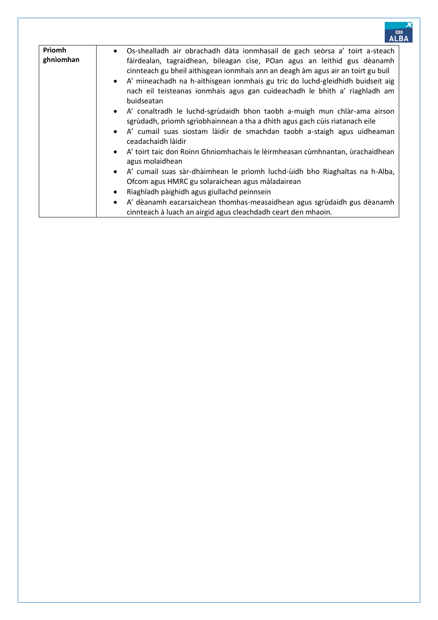

| Prìomh<br>ghnìomhan | Os-shealladh air obrachadh dàta ionmhasail de gach seòrsa a' toirt a-steach<br>fàirdealan, tagraidhean, bileagan cìse, POan agus an leithid gus dèanamh<br>cinnteach gu bheil aithisgean ionmhais ann an deagh àm agus air an toirt gu buil<br>• A' mineachadh na h-aithisgean ionmhais gu tric do luchd-gleidhidh buidseit aig<br>nach eil teisteanas ionmhais agus gan cuideachadh le bhith a' riaghladh am<br>buidseatan<br>• A' conaltradh le luchd-sgrùdaidh bhon taobh a-muigh mun chlàr-ama airson<br>sgrùdadh, prìomh sgrìobhainnean a tha a dhìth agus gach cùis riatanach eile<br>A' cumail suas siostam làidir de smachdan taobh a-staigh agus uidheaman<br>$\bullet$<br>ceadachaidh làidir<br>A' toirt taic don Roinn Ghnìomhachais le lèirmheasan cùmhnantan, ùrachaidhean<br>$\bullet$<br>agus molaidhean<br>• A' cumail suas sàr-dhàimhean le prìomh luchd-ùidh bho Riaghaltas na h-Alba,<br>Ofcom agus HMRC gu solaraichean agus màladairean<br>Riaghladh pàighidh agus giullachd peinnsein<br>$\bullet$ |
|---------------------|--------------------------------------------------------------------------------------------------------------------------------------------------------------------------------------------------------------------------------------------------------------------------------------------------------------------------------------------------------------------------------------------------------------------------------------------------------------------------------------------------------------------------------------------------------------------------------------------------------------------------------------------------------------------------------------------------------------------------------------------------------------------------------------------------------------------------------------------------------------------------------------------------------------------------------------------------------------------------------------------------------------------------|
|                     | A' dèanamh eacarsaichean thomhas-measaidhean agus sgrùdaidh gus dèanamh<br>$\bullet$                                                                                                                                                                                                                                                                                                                                                                                                                                                                                                                                                                                                                                                                                                                                                                                                                                                                                                                                     |
|                     | cinnteach à luach an airgid agus cleachdadh ceart den mhaoin.                                                                                                                                                                                                                                                                                                                                                                                                                                                                                                                                                                                                                                                                                                                                                                                                                                                                                                                                                            |